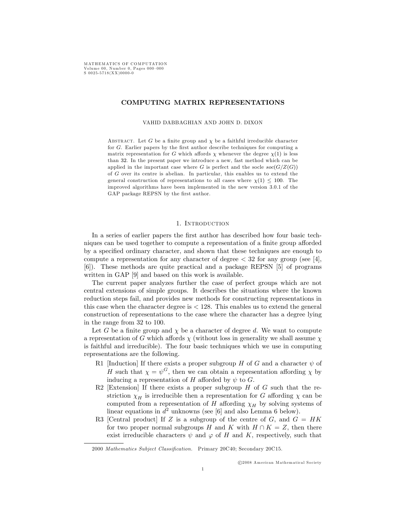M AT HEM ATICS OF COMPUTATION Volume 00, Number 0, Pages  $000-000$  $S$  0025-5718(XX)0000-0

# COMPUTING MATRIX REPRESENTATIONS

VAHID DABBAGHIAN AND JOHN D. DIXON

ABSTRACT. Let G be a finite group and  $\chi$  be a faithful irreducible character for  $G$ . Earlier papers by the first author describe techniques for computing a matrix representation for G which affords  $\chi$  whenever the degree  $\chi(1)$  is less than 32. In the present paper we introduce a new, fast method which can be applied in the important case where G is perfect and the socle  $\operatorname{soc}(G/Z(G))$ of G over its centre is abelian. In particular, this enables us to extend the general construction of representations to all cases where  $\chi(1)$  < 100. The improved algorithms have been implemented in the new version 3.0.1 of the GAP package REPSN by the first author.

#### 1. Introduction

In a series of earlier papers the first author has described how four basic techniques can be used together to compute a representation of a finite group afforded by a specified ordinary character, and shown that these techniques are enough to compute a representation for any character of degree  $\lt 32$  for any group (see [4], [6]). These methods are quite practical and a package REPSN [5] of programs written in GAP [9] and based on this work is available.

The current paper analyzes further the case of perfect groups which are not central extensions of simple groups. It describes the situations where the known reduction steps fail, and provides new methods for constructing representations in this case when the character degree is < 128. This enables us to extend the general construction of representations to the case where the character has a degree lying in the range from 32 to 100.

Let G be a finite group and  $\chi$  be a character of degree d. We want to compute a representation of G which affords  $\chi$  (without loss in generality we shall assume  $\chi$ is faithful and irreducible). The four basic techniques which we use in computing representations are the following.

- R1 [Induction] If there exists a proper subgroup H of G and a character  $\psi$  of H such that  $\chi = \psi^G$ , then we can obtain a representation affording  $\chi$  by inducing a representation of H afforded by  $\psi$  to G.
- R2 [Extension] If there exists a proper subgroup  $H$  of  $G$  such that the restriction  $\chi_H$  is irreducible then a representation for G affording  $\chi$  can be computed from a representation of H affording  $\chi_H$  by solving systems of linear equations in  $d^2$  unknowns (see [6] and also Lemma 6 below).
- R3 [Central product] If Z is a subgroup of the centre of G, and  $G = HK$ for two proper normal subgroups H and K with  $H \cap K = Z$ , then there exist irreducible characters  $\psi$  and  $\varphi$  of H and K, respectively, such that

 $C 2008$  American Mathematical Society

<sup>2000</sup> Mathematics Subject Classification. Primary 20C40; Secondary 20C15.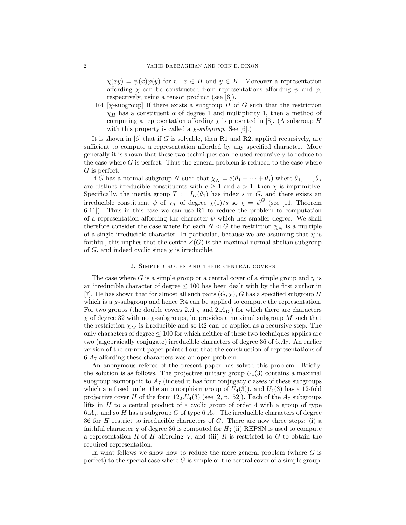$\chi(xy) = \psi(x)\varphi(y)$  for all  $x \in H$  and  $y \in K$ . Moreover a representation affording  $\chi$  can be constructed from representations affording  $\psi$  and  $\varphi$ , respectively, using a tensor product (see [6]).

R4 [ $\chi$ -subgroup] If there exists a subgroup H of G such that the restriction  $\chi_H$  has a constituent  $\alpha$  of degree 1 and multiplicity 1, then a method of computing a representation affording  $\chi$  is presented in [8]. (A subgroup H with this property is called a  $\chi$ -subgroup. See [6].)

It is shown in  $[6]$  that if G is solvable, then R1 and R2, applied recursively, are sufficient to compute a representation afforded by any specified character. More generally it is shown that these two techniques can be used recursively to reduce to the case where  $G$  is perfect. Thus the general problem is reduced to the case where G is perfect.

If G has a normal subgroup N such that  $\chi_N = e(\theta_1 + \cdots + \theta_s)$  where  $\theta_1, \ldots, \theta_s$ are distinct irreducible constituents with  $e \geq 1$  and  $s > 1$ , then  $\chi$  is imprimitive. Specifically, the inertia group  $T := I_G(\theta_1)$  has index s in G, and there exists an irreducible constituent  $\psi$  of  $\chi_T$  of degree  $\chi(1)/s$  so  $\chi = \psi^G$  (see [11, Theorem 6.11]). Thus in this case we can use R1 to reduce the problem to computation of a representation affording the character  $\psi$  which has smaller degree. We shall therefore consider the case where for each  $N \triangleleft G$  the restriction  $\chi_N$  is a multiple of a single irreducible character. In particular, because we are assuming that  $\chi$  is faithful, this implies that the centre  $Z(G)$  is the maximal normal abelian subgroup of G, and indeed cyclic since  $\chi$  is irreducible.

#### 2. Simple groups and their central covers

The case where G is a simple group or a central cover of a simple group and  $\chi$  is an irreducible character of degree  $\leq 100$  has been dealt with by the first author in [7]. He has shown that for almost all such pairs  $(G, \chi)$ , G has a specified subgroup H which is a  $\chi$ -subgroup and hence R4 can be applied to compute the representation. For two groups (the double covers  $2.A_{12}$  and  $2.A_{13}$ ) for which there are characters  $\chi$  of degree 32 with no  $\chi$  -subgroups, he provides a maximal subgroup  $M$  such that the restriction  $\chi_M$  is irreducible and so R2 can be applied as a recursive step. The only characters of degree  $\leq 100$  for which neither of these two techniques applies are two (algebraically conjugate) irreducible characters of degree 36 of 6:A7. An earlier version of the current paper pointed out that the construction of representations of  $6.A_7$  affording these characters was an open problem.

An anonymous referee of the present paper has solved this problem. Briefly, the solution is as follows. The projective unitary group  $U_4(3)$  contains a maximal subgroup isomorphic to  $A_7$  (indeed it has four conjugacy classes of these subgroups which are fused under the automorphism group of  $U_4(3)$ , and  $U_4(3)$  has a 12-fold projective cover H of the form  $12_2.U_4(3)$  (see [2, p. 52]). Each of the  $A_7$  subgroups lifts in  $H$  to a central product of a cyclic group of order 4 with a group of type  $6.A_7$ , and so H has a subgroup G of type  $6.A_7$ . The irreducible characters of degree 36 for  $H$  restrict to irreducible characters of  $G$ . There are now three steps: (i) a faithful character  $\chi$  of degree 36 is computed for H; (ii) REPSN is used to compute a representation R of H affording  $\chi$ ; and (iii) R is restricted to G to obtain the required representation.

In what follows we show how to reduce the more general problem (where  $G$  is perfect) to the special case where  $G$  is simple or the central cover of a simple group.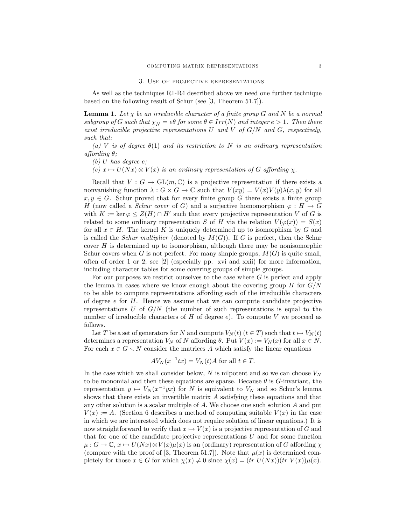#### 3. Use of projective representations

As well as the techniques R1-R4 described above we need one further technique based on the following result of Schur (see [3, Theorem 51.7]).

**Lemma 1.** Let  $\chi$  be an irreducible character of a finite group G and N be a normal subgroup of G such that  $\chi_N = e \theta$  for some  $\theta \in Irr(N)$  and integer  $e > 1$ . Then there exist irreducible projective representations U and V of  $G/N$  and G, respectively, such that:

(a) V is of degree  $\theta(1)$  and its restriction to N is an ordinary representation  $\alpha$ ffording  $\theta$ ;

(b)  $U$  has degree  $e$ ;

(c)  $x \mapsto U(Nx) \otimes V(x)$  is an ordinary representation of G affording  $\chi$ .

Recall that  $V : G \to GL(m, \mathbb{C})$  is a projective representation if there exists a nonvanishing function  $\lambda : G \times G \to \mathbb{C}$  such that  $V(xy) = V(x)V(y)\lambda(x, y)$  for all  $x, y \in G$ . Schur proved that for every finite group G there exists a finite group H (now called a *Schur cover* of G) and a surjective homomorphism  $\varphi : H \to G$ with  $K := \ker \varphi \leq Z(H) \cap H'$  such that every projective representation V of G is related to some ordinary representation S of H via the relation  $V(\varphi(x)) = S(x)$ for all  $x \in H$ . The kernel K is uniquely determined up to isomorphism by G and is called the *Schur multiplier* (denoted by  $M(G)$ ). If G is perfect, then the Schur cover  $H$  is determined up to isomorphism, although there may be nonisomorphic Schur covers when G is not perfect. For many simple groups,  $M(G)$  is quite small, often of order 1 or 2; see [2] (especially pp. xvi and xxii) for more information, including character tables for some covering groups of simple groups.

For our purposes we restrict ourselves to the case where  $G$  is perfect and apply the lemma in cases where we know enough about the covering group H for  $G/N$ to be able to compute representations affording each of the irreducible characters of degree e for H. Hence we assume that we can compute candidate projective representations U of  $G/N$  (the number of such representations is equal to the number of irreducible characters of  $H$  of degree  $e$ ). To compute  $V$  we proceed as follows.

Let T be a set of generators for N and compute  $V_N(t)$   $(t \in T)$  such that  $t \mapsto V_N(t)$ determines a representation  $V_N$  of N affording  $\theta$ . Put  $V(x) := V_N(x)$  for all  $x \in N$ . For each  $x \in G \setminus N$  consider the matrices A which satisfy the linear equations

$$
AV_N(x^{-1}tx) = V_N(t)A
$$
 for all  $t \in T$ .

In the case which we shall consider below,  $N$  is nilpotent and so we can choose  $V_N$ to be monomial and then these equations are sparse. Because  $\theta$  is G-invariant, the representation  $y \mapsto V_N(x^{-1}yx)$  for N is equivalent to  $V_N$  and so Schur's lemma shows that there exists an invertible matrix A satisfying these equations and that any other solution is a scalar multiple of  $A$ . We choose one such solution  $A$  and put  $V(x) := A$ . (Section 6 describes a method of computing suitable  $V(x)$  in the case in which we are interested which does not require solution of linear equations.) It is now straightforward to verify that  $x \mapsto V(x)$  is a projective representation of G and that for one of the candidate projective representations  $U$  and for some function  $\mu: G \to \mathbb{C}, x \mapsto U(Nx) \otimes V(x) \mu(x)$  is an (ordinary) representation of G affording  $\chi$ (compare with the proof of [3, Theorem 51.7]). Note that  $\mu(x)$  is determined completely for those  $x \in G$  for which  $\chi(x) \neq 0$  since  $\chi(x) = (tr U(Nx))(tr V(x))\mu(x).$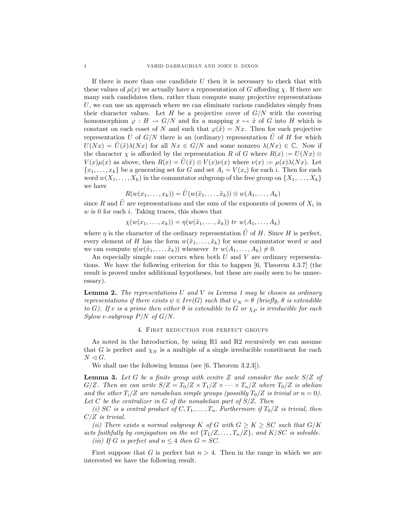If there is more than one candidate  $U$  then it is necessary to check that with these values of  $\mu(x)$  we actually have a representation of G affording  $\chi$ . If there are many such candidates then, rather than compute many projective representations  $U$ , we can use an approach where we can eliminate various candidates simply from their character values. Let H be a projective cover of  $G/N$  with the covering homomorphism  $\varphi : H \to G/N$  and fix a mapping  $x \mapsto \tilde{x}$  of G into H which is constant on each coset of N and such that  $\varphi(\tilde{x}) = Nx$ . Then for each projective representation U of  $G/N$  there is an (ordinary) representation U of H for which  $U(Nx) = U(\tilde{x})\lambda(Nx)$  for all  $Nx \in G/N$  and some nonzero  $\lambda(Nx) \in \mathbb{C}$ . Now if the character  $\chi$  is afforded by the representation R of G where  $R(x) := U(Nx) \otimes$  $V(x)\mu(x)$  as above, then  $R(x) = \tilde{U}(\tilde{x}) \otimes V(x)\nu(x)$  where  $\nu(x) := \mu(x)\lambda(Nx)$ . Let  ${x_1, \ldots, x_k}$  be a generating set for G and set  $A_i = V(x_i)$  for each i. Then for each word  $w(X_1, \ldots, X_k)$  in the commutator subgroup of the free group on  $\{X_1, \ldots, X_k\}$ we have

$$
R(w(x_1,\ldots,x_k))=\tilde{U}(w(\tilde{x}_1,\ldots,\tilde{x}_k))\otimes w(A_1,\ldots,A_k)
$$

since R and  $\tilde{U}$  are representations and the sum of the exponents of powers of  $X_i$  in  $w$  is 0 for each  $i$ . Taking traces, this shows that

$$
\chi(w(x_1,\ldots,x_k))=\eta(w(\tilde{x}_1,\ldots,\tilde{x}_k))\;tr\;w(A_1,\ldots,A_k)
$$

where  $\eta$  is the character of the ordinary representation  $\tilde{U}$  of H. Since H is perfect, every element of H has the form  $w(\tilde{x}_1, \ldots, \tilde{x}_k)$  for some commutator word w and we can compute  $\eta(w(\tilde{x}_1, \ldots, \tilde{x}_k))$  whenever  $tr w(A_1, \ldots, A_k) \neq 0$ .

An especially simple case occurs when both  $U$  and  $V$  are ordinary representations. We have the following criterion for this to happen [6, Theorem 4.3.7] (the result is proved under additional hypotheses, but these are easily seen to be unnecessary).

**Lemma 2.** The representations U and V in Lemma 1 may be chosen as ordinary representations if there exists  $\psi \in Irr(G)$  such that  $\psi_N = \theta$  (briefly,  $\theta$  is extendible to G). If e is a prime then either  $\theta$  is extendible to G or  $\chi_P$  is irreducible for each Sylow e-subgroup  $P/N$  of  $G/N$ .

## 4. First reduction for perfect groups

As noted in the Introduction, by using R1 and R2 recursively we can assume that G is perfect and  $\chi_N$  is a multiple of a single irreducible constituent for each  $N \triangleleft G$ .

We shall use the following lemma (see [6, Theorem 3.2.3]).

**Lemma 3.** Let G be a finite group with centre Z and consider the socle  $S/Z$  of  $G/Z$ . Then we can write  $S/Z = T_0/Z \times T_1/Z \times \cdots \times T_n/Z$  where  $T_0/Z$  is abelian and the other  $T_i/Z$  are nonabelian simple groups (possibly  $T_0/Z$  is trivial or  $n = 0$ ). Let C be the centralizer in G of the nonabelian part of  $S/Z$ . Then

(i) SC is a central product of  $C, T_1, \ldots, T_n$ . Furthermore if  $T_0/Z$  is trivial, then  $C/Z$  is trivial.

(ii) There exists a normal subgroup K of G with  $G \geq K \geq SC$  such that  $G/K$ acts faithfully by conjugation on the set  $\{T_1/Z, \ldots, T_n/Z\}$ , and  $K/SC$  is solvable. (iii) If G is perfect and  $n \leq 4$  then  $G = SC$ .

First suppose that G is perfect but  $n > 4$ . Then in the range in which we are interested we have the following result.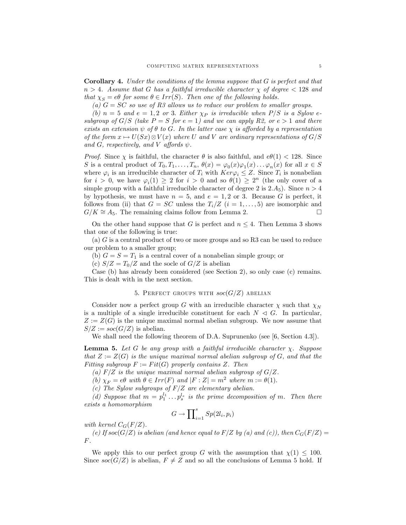**Corollary 4.** Under the conditions of the lemma suppose that  $G$  is perfect and that  $n > 4$ . Assume that G has a faithful irreducible character  $\chi$  of degree  $\lt 128$  and that  $\chi_S = e \theta$  for some  $\theta \in Irr(S)$ . Then one of the following holds.

(a)  $G = SC$  so use of R3 allows us to reduce our problem to smaller groups.

(b)  $n = 5$  and  $e = 1,2$  or 3. Either  $\chi_P$  is irreducible when  $P/S$  is a Sylow esubgroup of  $G/S$  (take  $P = S$  for  $e = 1$ ) and we can apply R2, or  $e > 1$  and there exists an extension  $\psi$  of  $\theta$  to G. In the latter case  $\chi$  is afforded by a representation of the form  $x \mapsto U(Sx) \otimes V(x)$  where U and V are ordinary representations of  $G/S$ and G, respectively, and V affords  $\psi$ .

*Proof.* Since  $\chi$  is faithful, the character  $\theta$  is also faithful, and  $e\theta(1) < 128$ . Since S is a central product of  $T_0, T_1, \ldots, T_n$ ,  $\theta(x) = \varphi_0(x)\varphi_1(x) \ldots \varphi_n(x)$  for all  $x \in S$ where  $\varphi_i$  is an irreducible character of  $T_i$  with  $Ker \varphi_i \leq Z$ . Since  $T_i$  is nonabelian for  $i > 0$ , we have  $\varphi_i(1) \geq 2$  for  $i > 0$  and so  $\theta(1) \geq 2^n$  (the only cover of a simple group with a faithful irreducible character of degree 2 is  $2.A_5$ ). Since  $n > 4$ by hypothesis, we must have  $n = 5$ , and  $e = 1, 2$  or 3. Because G is perfect, it follows from (ii) that  $G = SC$  unless the  $T_i/Z$  (i = 1, ..., 5) are isomorphic and  $G/K \cong A_5$ . The remaining claims follow from Lemma 2.

On the other hand suppose that G is perfect and  $n \leq 4$ . Then Lemma 3 shows that one of the following is true:

(a)  $G$  is a central product of two or more groups and so R3 can be used to reduce our problem to a smaller group;

(b)  $G = S = T_1$  is a central cover of a nonabelian simple group; or

(c)  $S/Z = T_0/Z$  and the socle of  $G/Z$  is abelian

Case (b) has already been considered (see Section 2), so only case (c) remains. This is dealt with in the next section.

## 5. PERFECT GROUPS WITH  $soc(G/Z)$  abelian

Consider now a perfect group G with an irreducible character  $\chi$  such that  $\chi_N$ is a multiple of a single irreducible constituent for each  $N \triangleleft G$ . In particular,  $Z := Z(G)$  is the unique maximal normal abelian subgroup. We now assume that  $S/Z := \mathit{soc}(G/Z)$  is abelian.

We shall need the following theorem of D.A. Suprunenko (see [6, Section 4.3]).

**Lemma 5.** Let G be any group with a faithful irreducible character  $\chi$ . Suppose that  $Z := Z(G)$  is the unique maximal normal abelian subgroup of G, and that the Fitting subgroup  $F := Fit(G)$  properly contains Z. Then

(a)  $F/Z$  is the unique maximal normal abelian subgroup of  $G/Z$ .

(b)  $\chi_F = e\theta$  with  $\theta \in Irr(F)$  and  $|F:Z| = m^2$  where  $m := \theta(1)$ .

(c) The Sylow subgroups of  $F/Z$  are elementary abelian.

(d) Suppose that  $m = p_1^{l_1} \dots p_s^{l_s}$  is the prime decomposition of m. Then there exists a homomorphism

$$
G \to \prod_{i=1}^{s} Sp(2l_i, p_i)
$$

with kernel  $C_G(F/Z)$ .

(e) If soc(G/Z) is abelian (and hence equal to F/Z by (a) and (c)), then  $C_G(F/Z)$  = F.

We apply this to our perfect group G with the assumption that  $\chi(1) \leq 100$ . Since  $\operatorname{soc}(G/Z)$  is abelian,  $F \neq Z$  and so all the conclusions of Lemma 5 hold. If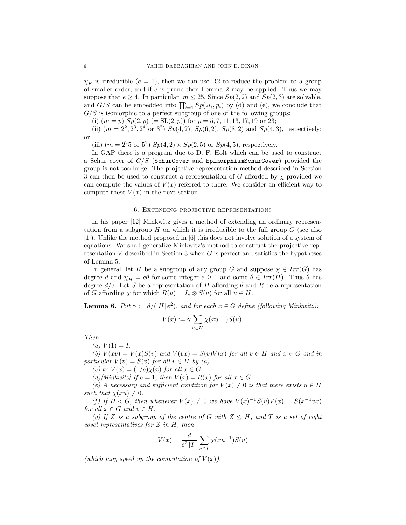$\chi_F$  is irreducible ( $e = 1$ ), then we can use R2 to reduce the problem to a group of smaller order, and if  $e$  is prime then Lemma 2 may be applied. Thus we may suppose that  $e \geq 4$ . In particular,  $m \leq 25$ . Since  $Sp(2, 2)$  and  $Sp(2, 3)$  are solvable, and  $G/S$  can be embedded into  $\prod_{i=1}^{s} Sp(2l_i, p_i)$  by (d) and (e), we conclude that  $G/S$  is isomorphic to a perfect subgroup of one of the following groups:

(i)  $(m = p) Sp(2, p) (= SL(2, p))$  for  $p = 5, 7, 11, 13, 17, 19$  or 23;

(ii)  $(m = 2^2, 2^3, 2^4 \text{ or } 3^2)$   $Sp(4, 2), Sp(6, 2), Sp(8, 2)$  and  $Sp(4, 3),$  respectively; or

(iii)  $(m = 2^2 5 \text{ or } 5^2)$   $Sp(4, 2) \times Sp(2, 5)$  or  $Sp(4, 5)$ , respectively.

In GAP there is a program due to D. F. Holt which can be used to construct a Schur cover of  $G/S$  (SchurCover and EpimorphismSchurCover) provided the group is not too large. The projective representation method described in Section 3 can then be used to construct a representation of G afforded by  $\chi$  provided we can compute the values of  $V(x)$  referred to there. We consider an efficient way to compute these  $V(x)$  in the next section.

## 6. Extending projective representations

In his paper [12] Minkwitz gives a method of extending an ordinary representation from a subgroup  $H$  on which it is irreducible to the full group  $G$  (see also [1]). Unlike the method proposed in [6] this does not involve solution of a system of equations. We shall generalize Minkwitz's method to construct the projective representation V described in Section 3 when  $G$  is perfect and satisfies the hypotheses of Lemma 5.

In general, let H be a subgroup of any group G and suppose  $\chi \in Irr(G)$  has degree d and  $\chi_H = e\theta$  for some integer  $e \geq 1$  and some  $\theta \in Irr(H)$ . Thus  $\theta$  has degree  $d/e$ . Let S be a representation of H affording  $\theta$  and R be a representation of G affording  $\chi$  for which  $R(u) = I_e \otimes S(u)$  for all  $u \in H$ .

**Lemma 6.** Put  $\gamma := d/(|H|e^2)$ , and for each  $x \in G$  define (following Minkwitz):

$$
V(x) := \gamma \sum_{u \in H} \chi(xu^{-1})S(u).
$$

Then:

(a)  $V(1) = I$ .

(b)  $V(xv) = V(x)S(v)$  and  $V(vx) = S(v)V(x)$  for all  $v \in H$  and  $x \in G$  and in particular  $V(v) = S(v)$  for all  $v \in H$  by (a).

(c) tr  $V(x) = (1/e)\chi(x)$  for all  $x \in G$ .

(d)[Minkwitz] If  $e = 1$ , then  $V(x) = R(x)$  for all  $x \in G$ .

(e) A necessary and sufficient condition for  $V(x) \neq 0$  is that there exists  $u \in H$ such that  $\chi(xu) \neq 0$ .

(f) If  $H \triangleleft G$ , then whenever  $V(x) \neq 0$  we have  $V(x)^{-1}S(v)V(x) = S(x^{-1}vx)$ for all  $x \in G$  and  $v \in H$ .

(g) If Z is a subgroup of the centre of G with  $Z \leq H$ , and T is a set of right coset representatives for Z in H, then

$$
V(x) = \frac{d}{e^2 |T|} \sum_{u \in T} \chi(xu^{-1}) S(u)
$$

(which may speed up the computation of  $V(x)$ ).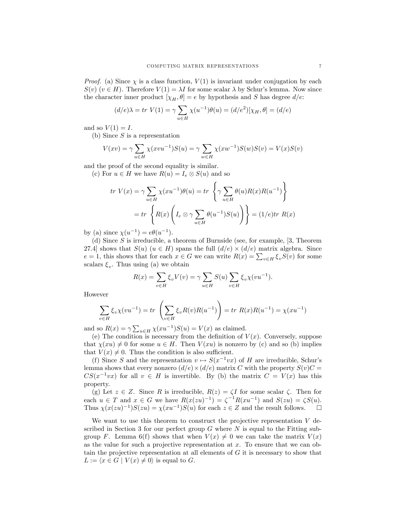*Proof.* (a) Since  $\chi$  is a class function,  $V(1)$  is invariant under conjugation by each  $S(v)$  ( $v \in H$ ). Therefore  $V(1) = \lambda I$  for some scalar  $\lambda$  by Schur's lemma. Now since the character inner product  $[\chi_H, \theta] = e$  by hypothesis and S has degree  $d/e$ .

$$
(d/e)\lambda = tr V(1) = \gamma \sum_{u \in H} \chi(u^{-1})\theta(u) = (d/e^2)[\chi_H, \theta] = (d/e)
$$

and so  $V(1) = I$ .

(b) Since  $S$  is a representation

$$
V(xv) = \gamma \sum_{u \in H} \chi(xvu^{-1})S(u) = \gamma \sum_{w \in H} \chi(xw^{-1})S(w)S(v) = V(x)S(v)
$$

and the proof of the second equality is similar.

(c) For  $u \in H$  we have  $R(u) = I_e \otimes S(u)$  and so

$$
tr V(x) = \gamma \sum_{u \in H} \chi(xu^{-1})\theta(u) = tr \left\{ \gamma \sum_{u \in H} \theta(u)R(x)R(u^{-1}) \right\}
$$

$$
= tr \left\{ R(x) \left( I_e \otimes \gamma \sum_{u \in H} \theta(u^{-1})S(u) \right) \right\} = (1/e)tr R(x)
$$

by (a) since  $\chi(u^{-1}) = e^{\theta(u^{-1})}$ .

(d) Since  $S$  is irreducible, a theorem of Burnside (see, for example, [3, Theorem 27.4] shows that  $S(u)$   $(u \in H)$  spans the full  $(d/e) \times (d/e)$  matrix algebra. Since  $e = 1$ , this shows that for each  $x \in G$  we can write  $R(x) = \sum_{v \in H} \xi_v S(v)$  for some scalars  $\xi_v$ . Thus using (a) we obtain

$$
R(x) = \sum_{v \in H} \xi_v V(v) = \gamma \sum_{u \in H} S(u) \sum_{v \in H} \xi_v \chi(vu^{-1}).
$$

However

$$
\sum_{v \in H} \xi_v \chi(vu^{-1}) = tr \left( \sum_{v \in H} \xi_v R(v) R(u^{-1}) \right) = tr \ R(x) R(u^{-1}) = \chi(xu^{-1})
$$

and so  $R(x) = \gamma \sum_{u \in H} \chi(xu^{-1})S(u) = V(x)$  as claimed.

(e) The condition is necessary from the definition of  $V(x)$ . Conversely, suppose that  $\chi(xu) \neq 0$  for some  $u \in H$ . Then  $V(xu)$  is nonzero by (c) and so (b) implies that  $V(x) \neq 0$ . Thus the condition is also sufficient.

(f) Since S and the representation  $v \mapsto S(x^{-1}vx)$  of H are irreducible, Schur's lemma shows that every nonzero  $(d/e) \times (d/e)$  matrix C with the property  $S(v)C =$  $CS(x^{-1}vx)$  for all  $v \in H$  is invertible. By (b) the matrix  $C = V(x)$  has this property.

(g) Let  $z \in Z$ . Since R is irreducible,  $R(z) = \zeta I$  for some scalar  $\zeta$ . Then for each  $u \in T$  and  $x \in G$  we have  $R(x(zu)^{-1}) = \zeta^{-1}R(xu^{-1})$  and  $S(zu) = \zeta S(u)$ . Thus  $\chi(x(zu)^{-1})S(zu) = \chi(xu^{-1})S(u)$  for each  $z \in Z$  and the result follows.  $\square$ 

We want to use this theorem to construct the projective representation  $V$  described in Section 3 for our perfect group  $G$  where  $N$  is equal to the Fitting subgroup F. Lemma 6(f) shows that when  $V(x) \neq 0$  we can take the matrix  $V(x)$ as the value for such a projective representation at  $x$ . To ensure that we can obtain the projective representation at all elements of  $G$  it is necessary to show that  $L := \langle x \in G \mid V(x) \neq 0 \rangle$  is equal to G.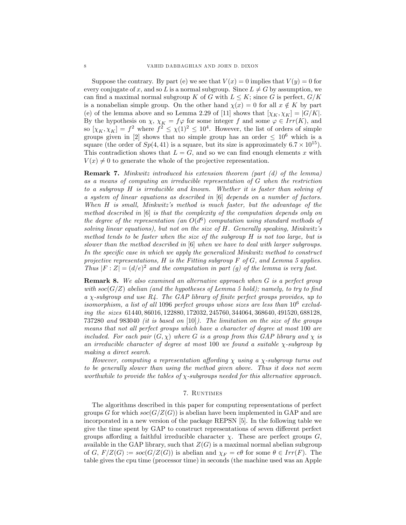Suppose the contrary. By part (e) we see that  $V(x) = 0$  implies that  $V(y) = 0$  for every conjugate of x, and so L is a normal subgroup. Since  $L \neq G$  by assumption, we can find a maximal normal subgroup K of G with  $L \leq K$ ; since G is perfect,  $G/K$ is a nonabelian simple group. On the other hand  $\chi(x) = 0$  for all  $x \notin K$  by part (e) of the lemma above and so Lemma 2.29 of [11] shows that  $[\chi_K, \chi_K] = |G/K|$ . By the hypothesis on  $\chi$ ,  $\chi_K = f\varphi$  for some integer f and some  $\varphi \in Irr(K)$ , and so  $[\chi_K, \chi_K] = f^2$  where  $f^2 \leq \chi(1)^2 \leq 10^4$ . However, the list of orders of simple groups given in [2] shows that no simple group has an order  $\leq 10^6$  which is a square (the order of  $Sp(4, 41)$  is a square, but its size is approximately  $6.7 \times 10^{15}$ ). This contradiction shows that  $L = G$ , and so we can find enough elements x with  $V(x) \neq 0$  to generate the whole of the projective representation.

**Remark 7.** Minkwitz introduced his extension theorem (part  $(d)$  of the lemma) as a means of computing an irreducible representation of G when the restriction to a subgroup H is irreducible and known. Whether it is faster than solving of a system of linear equations as described in [6] depends on a number of factors. When H is small, Minkwitz's method is much faster, but the advantage of the method described in [6] is that the complexity of the computation depends only on the degree of the representation (an  $O(d^6)$  computation using standard methods of solving linear equations), but not on the size of  $H$ . Generally speaking, Minkwitz's method tends to be faster when the size of the subgroup H is not too large, but is slower than the method described in [6] when we have to deal with larger subgroups. In the specific case in which we apply the generalized Minkwitz method to construct projective representations,  $H$  is the Fitting subgroup  $F$  of  $G$ , and Lemma 5 applies. Thus  $|F : Z| = (d/e)^2$  and the computation in part (g) of the lemma is very fast.

**Remark 8.** We also examined an alternative approach when G is a perfect group with soc( $G/Z$ ) abelian (and the hypotheses of Lemma 5 hold); namely, to try to find a  $\chi$ -subgroup and use R4. The GAP library of finite perfect groups provides, up to isomorphism, a list of all 1096 perfect groups whose sizes are less than  $10^6$  excluding the sizes 61440, 86016, 122880, 172032, 245760, 344064, 368640, 491520, 688128, 737280 and 983040 (it is based on [10]). The limitation on the size of the groups means that not all perfect groups which have a character of degree at most 100 are included. For each pair  $(G, \chi)$  where G is a group from this GAP library and  $\chi$  is an irreducible character of degree at most  $100$  we found a suitable  $\chi$ -subgroup by making a direct search.

However, computing a representation affording  $\chi$  using a  $\chi$ -subgroup turns out to be generally slower than using the method given above. Thus it does not seem worthwhile to provide the tables of  $\chi$ -subgroups needed for this alternative approach.

## 7. Runtimes

The algorithms described in this paper for computing representations of perfect groups G for which  $\mathfrak{soc}(G/Z(G))$  is abelian have been implemented in GAP and are incorporated in a new version of the package REPSN [5]. In the following table we give the time spent by GAP to construct representations of seven different perfect groups affording a faithful irreducible character  $\chi$ . These are perfect groups  $G$ , available in the GAP library, such that  $Z(G)$  is a maximal normal abelian subgroup of G,  $F/Z(G) := \text{soc}(G/Z(G))$  is abelian and  $\chi_F = e\theta$  for some  $\theta \in \text{Irr}(F)$ . The table gives the cpu time (processor time) in seconds (the machine used was an Apple